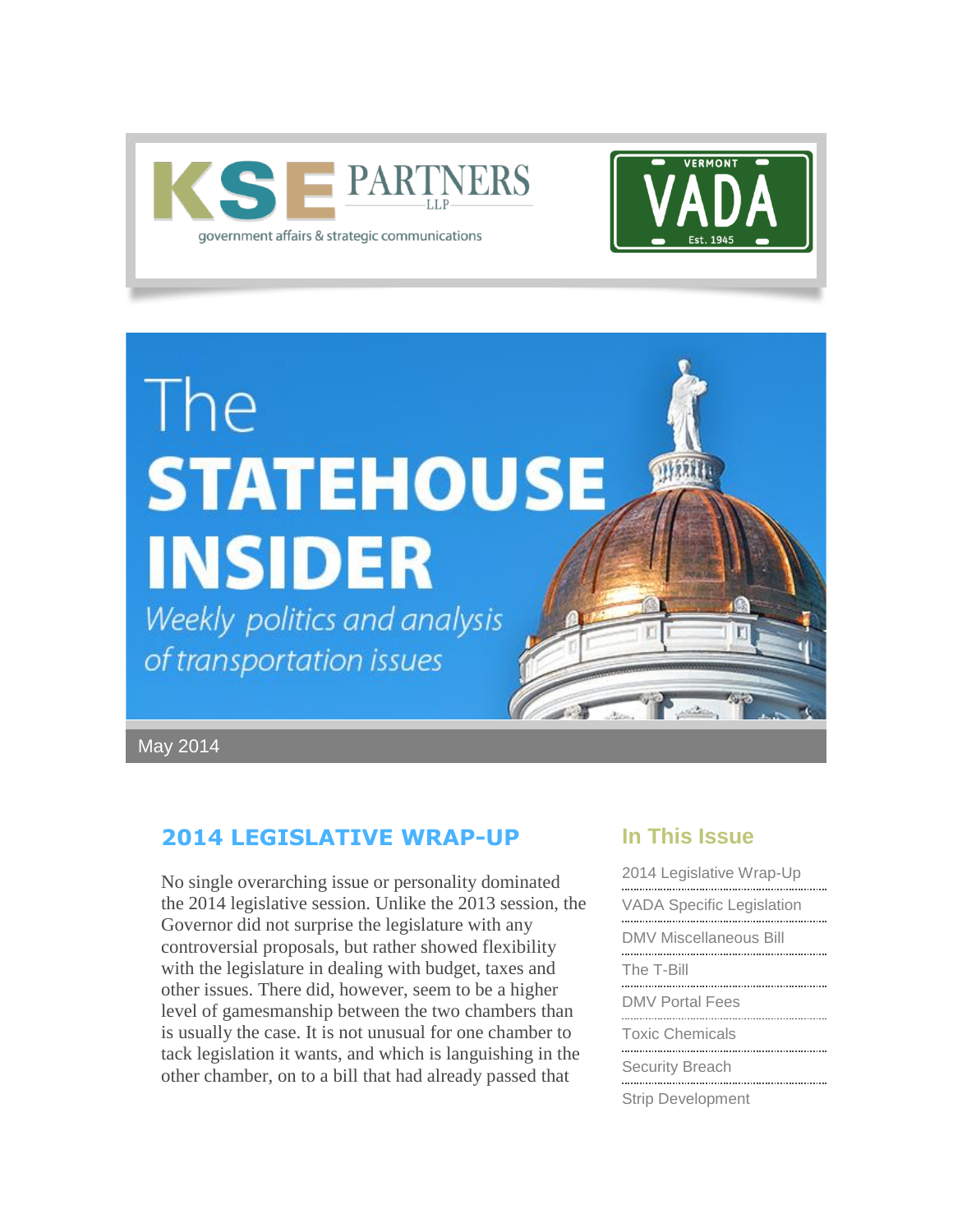



# The **STATEHOUSE INSIDER**

Weekly politics and analysis of transportation issues

May 2014

## <span id="page-0-0"></span>**2014 LEGISLATIVE WRAP-UP**

No single overarching issue or personality dominated the 2014 legislative session. Unlike the 2013 session, the Governor did not surprise the legislature with any controversial proposals, but rather showed flexibility with the legislature in dealing with budget, taxes and other issues. There did, however, seem to be a higher level of gamesmanship between the two chambers than is usually the case. It is not unusual for one chamber to tack legislation it wants, and which is languishing in the other chamber, on to a bill that had already passed that

## **In This Issue**

OK

| 2014 Legislative Wrap-Up         |
|----------------------------------|
| <b>VADA Specific Legislation</b> |
| DMV Miscellaneous Bill           |
| The T-Bill                       |
| DMV Portal Fees                  |
| <b>Toxic Chemicals</b>           |
| <b>Security Breach</b>           |
| <b>Strip Development</b>         |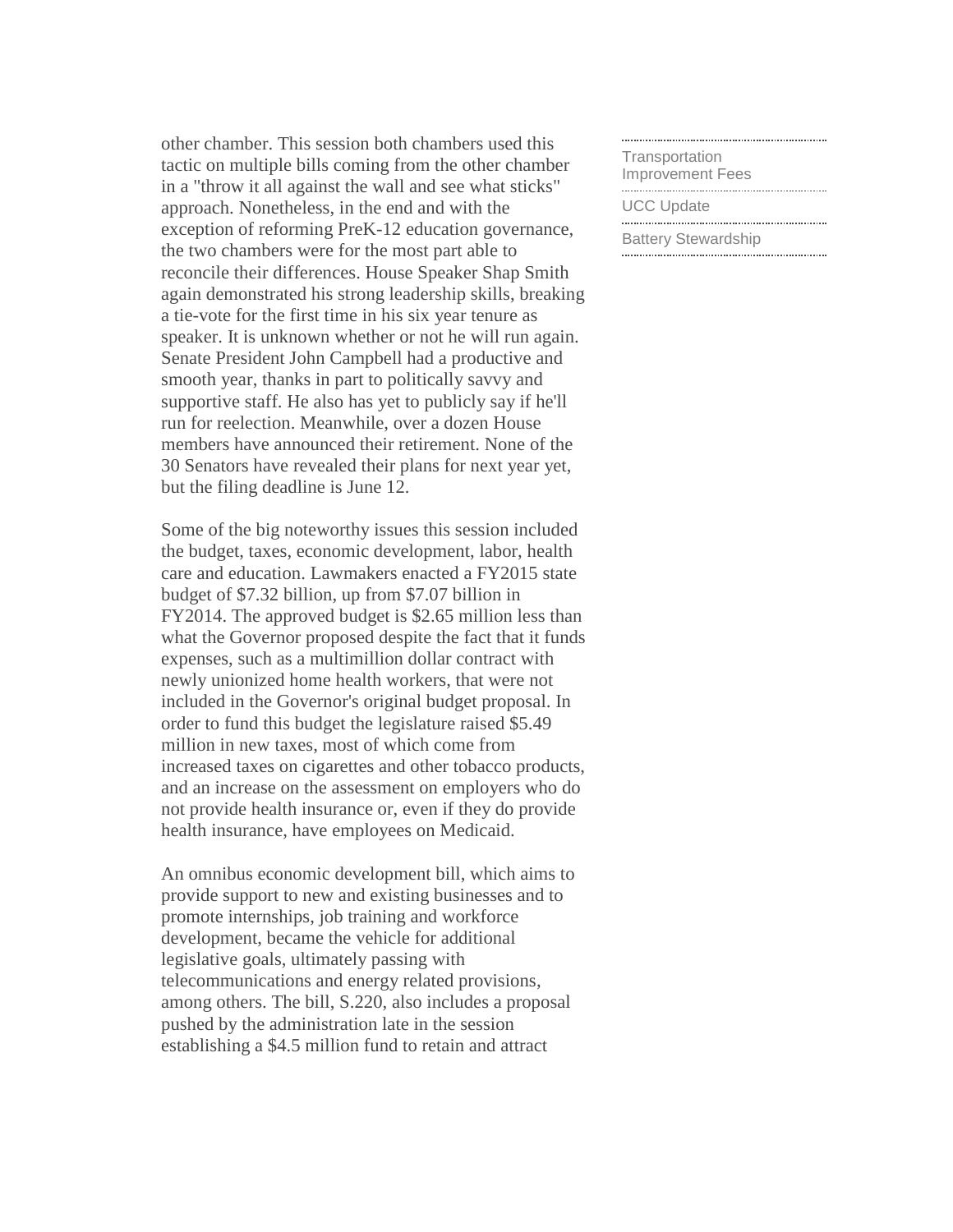other chamber. This session both chambers used this tactic on multiple bills coming from the other chamber in a "throw it all against the wall and see what sticks" approach. Nonetheless, in the end and with the exception of reforming PreK-12 education governance, the two chambers were for the most part able to reconcile their differences. House Speaker Shap Smith again demonstrated his strong leadership skills, breaking a tie-vote for the first time in his six year tenure as speaker. It is unknown whether or not he will run again. Senate President John Campbell had a productive and smooth year, thanks in part to politically savvy and supportive staff. He also has yet to publicly say if he'll run for reelection. Meanwhile, over a dozen House members have announced their retirement. None of the 30 Senators have revealed their plans for next year yet, but the filing deadline is June 12.

Some of the big noteworthy issues this session included the budget, taxes, economic development, labor, health care and education. Lawmakers enacted a FY2015 state budget of \$7.32 billion, up from \$7.07 billion in FY2014. The approved budget is \$2.65 million less than what the Governor proposed despite the fact that it funds expenses, such as a multimillion dollar contract with newly unionized home health workers, that were not included in the Governor's original budget proposal. In order to fund this budget the legislature raised \$5.49 million in new taxes, most of which come from increased taxes on cigarettes and other tobacco products, and an increase on the assessment on employers who do not provide health insurance or, even if they do provide health insurance, have employees on Medicaid.

An omnibus economic development bill, which aims to provide support to new and existing businesses and to promote internships, job training and workforce development, became the vehicle for additional legislative goals, ultimately passing with telecommunications and energy related provisions, among others. The bill, S.220, also includes a proposal pushed by the administration late in the session establishing a \$4.5 million fund to retain and attract

[Transportation](#page-7-0)  [Improvement Fees](#page-7-0) [UCC Update](#page-8-0) 

[Battery Stewardship](#page-8-0)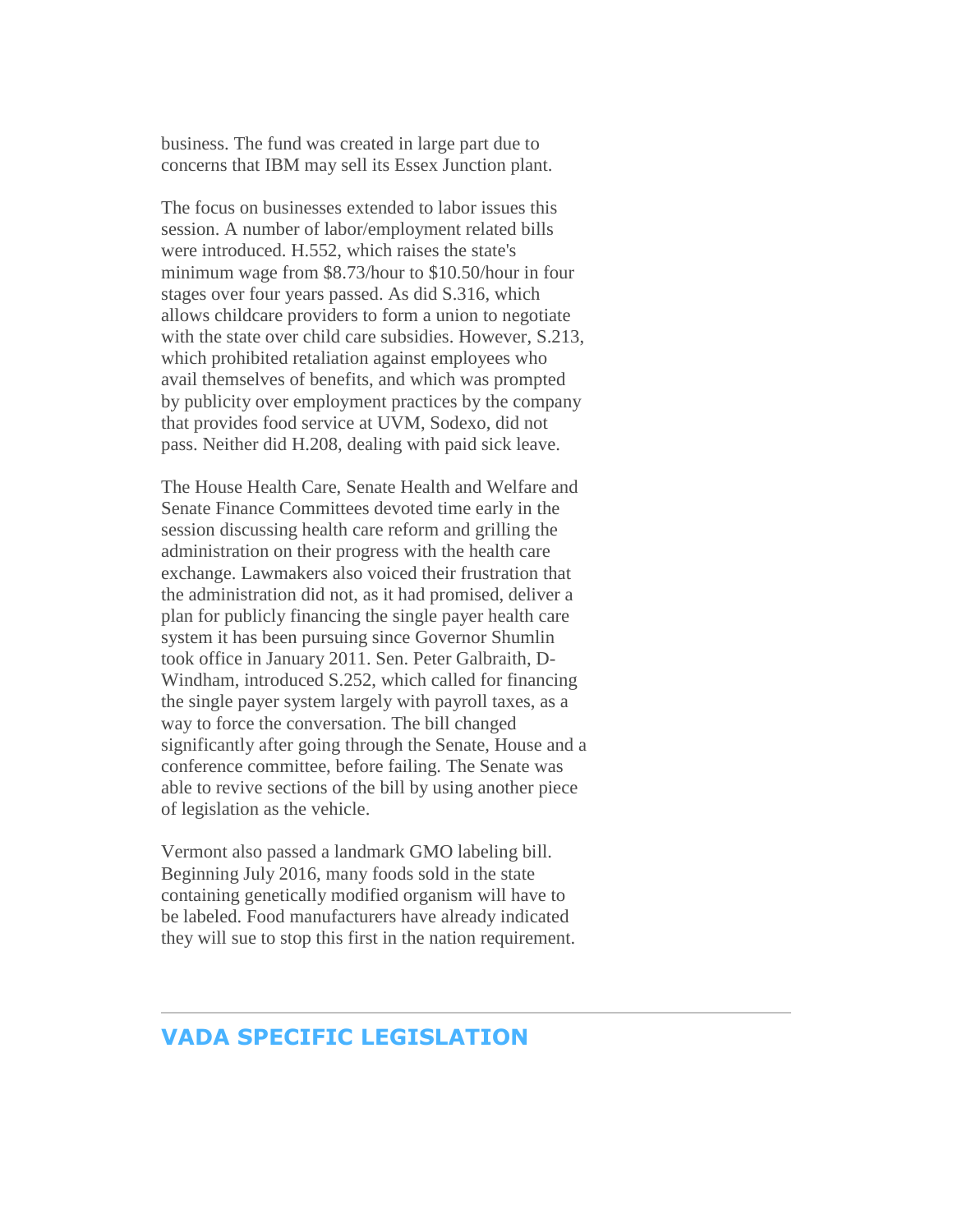business. The fund was created in large part due to concerns that IBM may sell its Essex Junction plant.

The focus on businesses extended to labor issues this session. A number of labor/employment related bills were introduced. H.552, which raises the state's minimum wage from \$8.73/hour to \$10.50/hour in four stages over four years passed. As did S.316, which allows childcare providers to form a union to negotiate with the state over child care subsidies. However, S.213, which prohibited retaliation against employees who avail themselves of benefits, and which was prompted by publicity over employment practices by the company that provides food service at UVM, Sodexo, did not pass. Neither did H.208, dealing with paid sick leave.

The House Health Care, Senate Health and Welfare and Senate Finance Committees devoted time early in the session discussing health care reform and grilling the administration on their progress with the health care exchange. Lawmakers also voiced their frustration that the administration did not, as it had promised, deliver a plan for publicly financing the single payer health care system it has been pursuing since Governor Shumlin took office in January 2011. Sen. Peter Galbraith, D-Windham, introduced S.252, which called for financing the single payer system largely with payroll taxes, as a way to force the conversation. The bill changed significantly after going through the Senate, House and a conference committee, before failing. The Senate was able to revive sections of the bill by using another piece of legislation as the vehicle.

Vermont also passed a landmark GMO labeling bill. Beginning July 2016, many foods sold in the state containing genetically modified organism will have to be labeled. Food manufacturers have already indicated they will sue to stop this first in the nation requirement.

## <span id="page-2-0"></span>**VADA SPECIFIC LEGISLATION**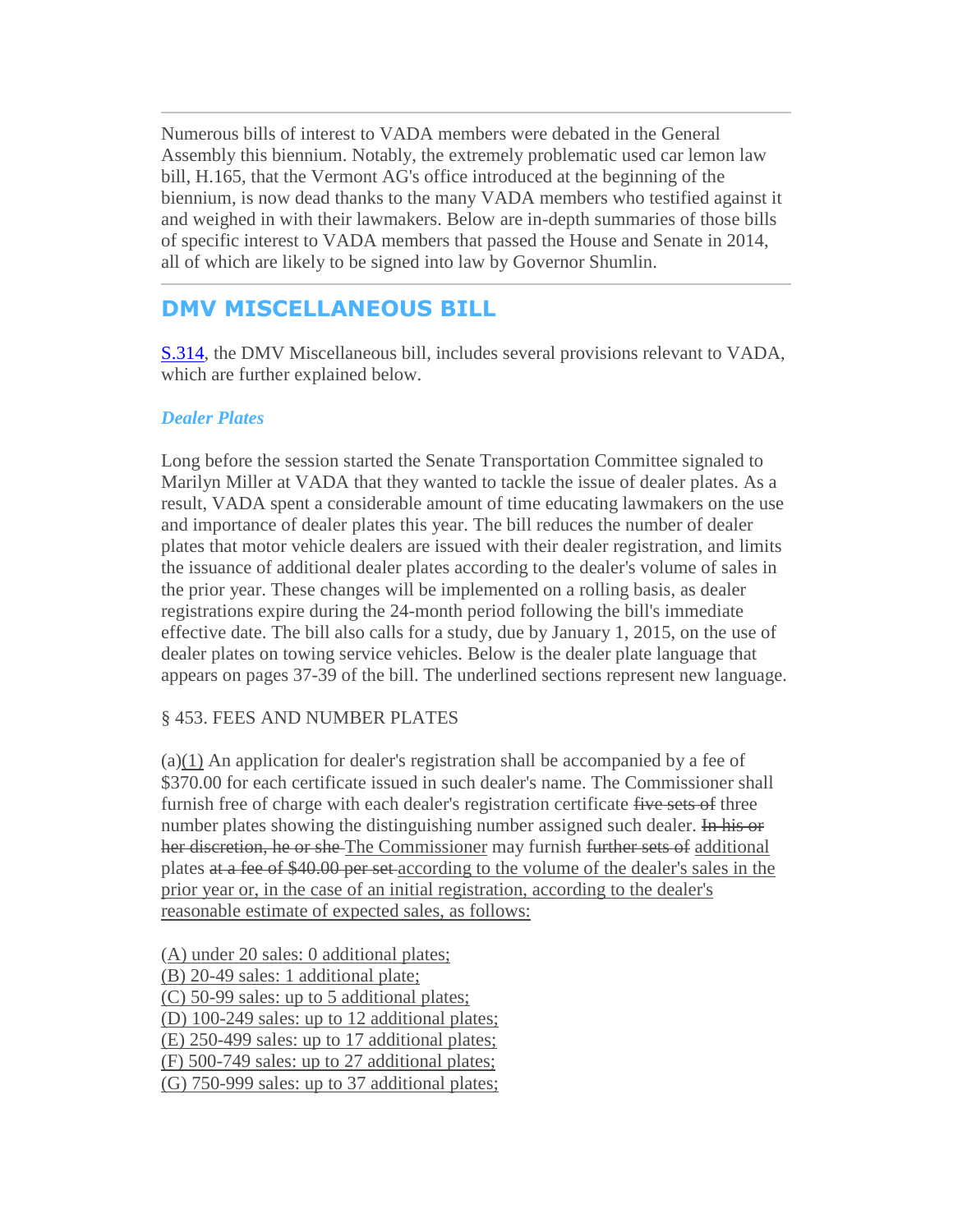<span id="page-3-0"></span>Numerous bills of interest to VADA members were debated in the General Assembly this biennium. Notably, the extremely problematic used car lemon law bill, H.165, that the Vermont AG's office introduced at the beginning of the biennium, is now dead thanks to the many VADA members who testified against it and weighed in with their lawmakers. Below are in-depth summaries of those bills of specific interest to VADA members that passed the House and Senate in 2014, all of which are likely to be signed into law by Governor Shumlin.

# **DMV MISCELLANEOUS BILL**

[S.314,](http://r20.rs6.net/tn.jsp?f=001IPt74B1M4BLwvEscRJLNK-3mFiivhQMc3aNKrq4gMmsB_z5IQVGuQ6spODiTqph3XbZjj5scqVHWUQIKz-AfeulfX2kqJtVcq7fBhoLcifKoX-GTdypTJRSHd9Lzihq4jBnsISFkK8bsQWSkjGr7b2qbOLH0mSlKNDYKGRrq4-V2Xhi2LEnsBsxBWbT5p3__9oN4-tkJR1DkaonrejsHI911DQln3HJV3tL8Ds95FI8=&c=rSm9UNfgd4r0lwH_yZOtPIZP_Xuw6C7YNs6ofa_AYioxSh44sFbQng==&ch=-4o_bbDpm19JdAN9Xk8lUHraJbDc7juoLx4BC8dIPovfJenNho9gOQ==) the DMV Miscellaneous bill, includes several provisions relevant to VADA, which are further explained below.

## *Dealer Plates*

Long before the session started the Senate Transportation Committee signaled to Marilyn Miller at VADA that they wanted to tackle the issue of dealer plates. As a result, VADA spent a considerable amount of time educating lawmakers on the use and importance of dealer plates this year. The bill reduces the number of dealer plates that motor vehicle dealers are issued with their dealer registration, and limits the issuance of additional dealer plates according to the dealer's volume of sales in the prior year. These changes will be implemented on a rolling basis, as dealer registrations expire during the 24-month period following the bill's immediate effective date. The bill also calls for a study, due by January 1, 2015, on the use of dealer plates on towing service vehicles. Below is the dealer plate language that appears on pages 37-39 of the bill. The underlined sections represent new language.

## § 453. FEES AND NUMBER PLATES

(a)(1) An application for dealer's registration shall be accompanied by a fee of \$370.00 for each certificate issued in such dealer's name. The Commissioner shall furnish free of charge with each dealer's registration certificate five sets of three number plates showing the distinguishing number assigned such dealer. In his or her discretion, he or she The Commissioner may furnish further sets of additional plates at a fee of \$40.00 per set according to the volume of the dealer's sales in the prior year or, in the case of an initial registration, according to the dealer's reasonable estimate of expected sales, as follows:

(A) under 20 sales: 0 additional plates; (B) 20-49 sales: 1 additional plate; (C) 50-99 sales: up to 5 additional plates; (D) 100-249 sales: up to 12 additional plates; (E) 250-499 sales: up to 17 additional plates; (F) 500-749 sales: up to 27 additional plates; (G) 750-999 sales: up to 37 additional plates;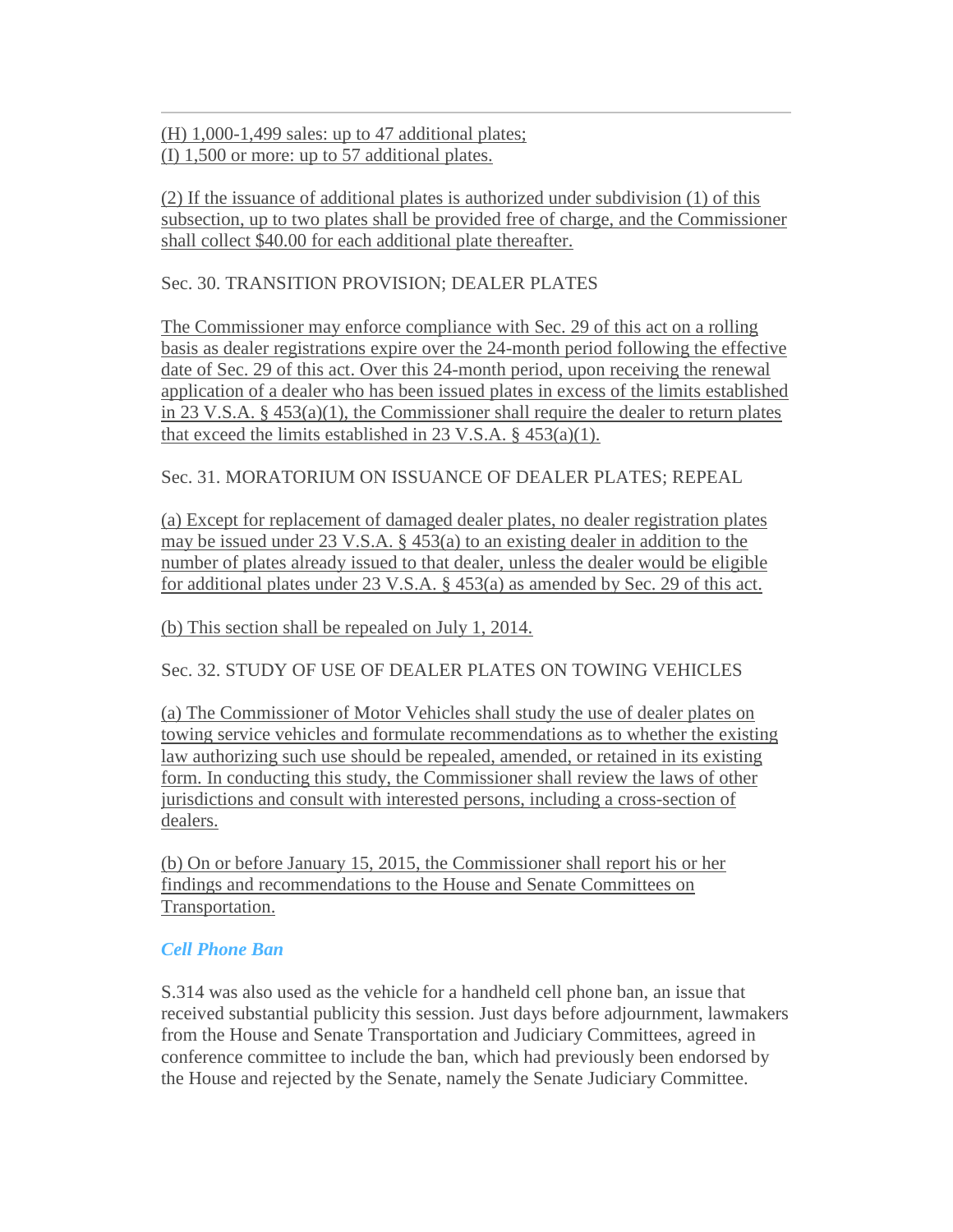(H) 1,000-1,499 sales: up to 47 additional plates; (I) 1,500 or more: up to 57 additional plates.

(2) If the issuance of additional plates is authorized under subdivision (1) of this subsection, up to two plates shall be provided free of charge, and the Commissioner shall collect \$40.00 for each additional plate thereafter.

Sec. 30. TRANSITION PROVISION; DEALER PLATES

The Commissioner may enforce compliance with Sec. 29 of this act on a rolling basis as dealer registrations expire over the 24-month period following the effective date of Sec. 29 of this act. Over this 24-month period, upon receiving the renewal application of a dealer who has been issued plates in excess of the limits established in 23 V.S.A. § 453(a)(1), the Commissioner shall require the dealer to return plates that exceed the limits established in 23 V.S.A.  $\S$  453(a)(1).

Sec. 31. MORATORIUM ON ISSUANCE OF DEALER PLATES; REPEAL

(a) Except for replacement of damaged dealer plates, no dealer registration plates may be issued under 23 V.S.A. § 453(a) to an existing dealer in addition to the number of plates already issued to that dealer, unless the dealer would be eligible for additional plates under 23 V.S.A. § 453(a) as amended by Sec. 29 of this act.

(b) This section shall be repealed on July 1, 2014.

Sec. 32. STUDY OF USE OF DEALER PLATES ON TOWING VEHICLES

(a) The Commissioner of Motor Vehicles shall study the use of dealer plates on towing service vehicles and formulate recommendations as to whether the existing law authorizing such use should be repealed, amended, or retained in its existing form. In conducting this study, the Commissioner shall review the laws of other jurisdictions and consult with interested persons, including a cross-section of dealers.

(b) On or before January 15, 2015, the Commissioner shall report his or her findings and recommendations to the House and Senate Committees on Transportation.

## *Cell Phone Ban*

S.314 was also used as the vehicle for a handheld cell phone ban, an issue that received substantial publicity this session. Just days before adjournment, lawmakers from the House and Senate Transportation and Judiciary Committees, agreed in conference committee to include the ban, which had previously been endorsed by the House and rejected by the Senate, namely the Senate Judiciary Committee.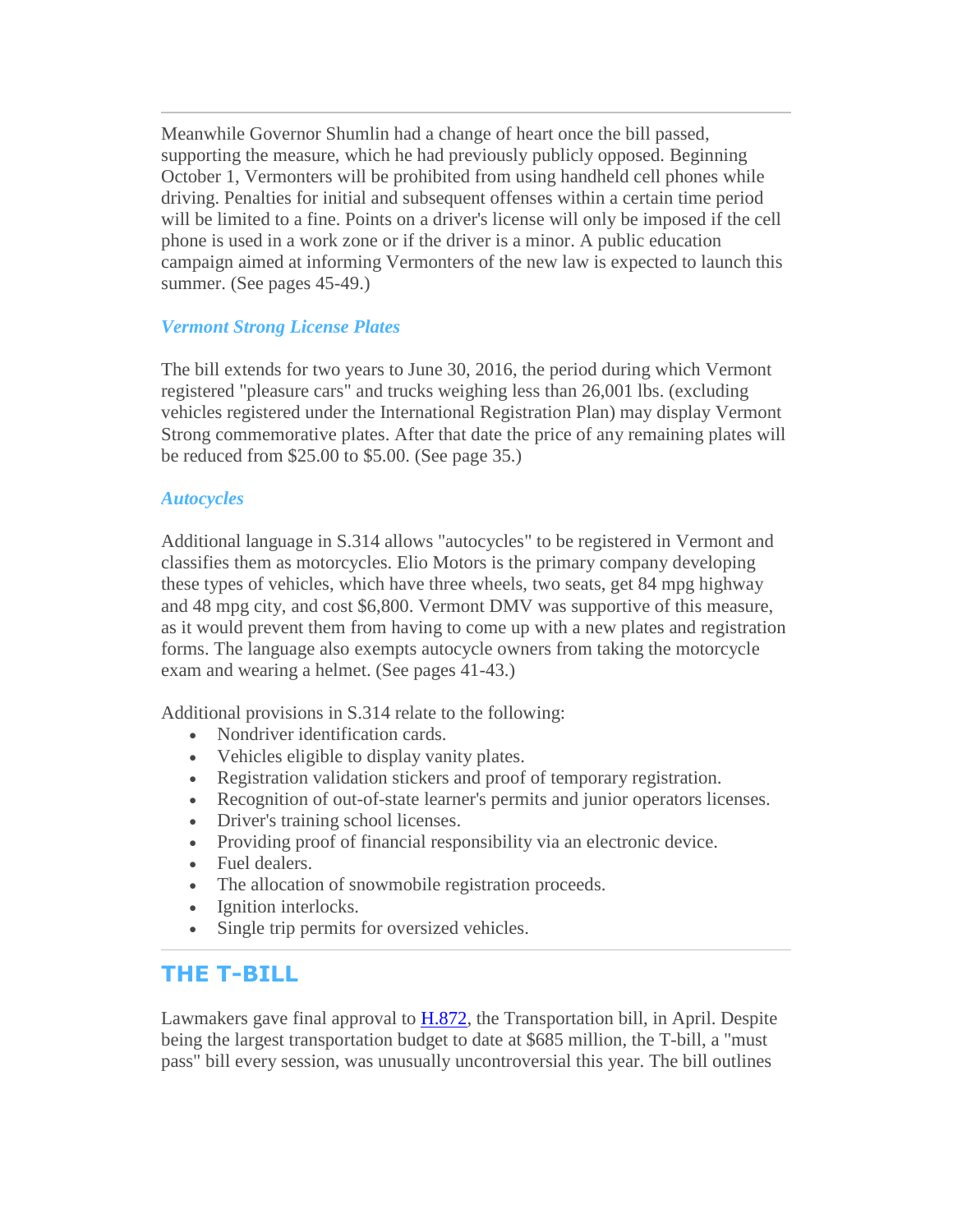<span id="page-5-0"></span>Meanwhile Governor Shumlin had a change of heart once the bill passed, supporting the measure, which he had previously publicly opposed. Beginning October 1, Vermonters will be prohibited from using handheld cell phones while driving. Penalties for initial and subsequent offenses within a certain time period will be limited to a fine. Points on a driver's license will only be imposed if the cell phone is used in a work zone or if the driver is a minor. A public education campaign aimed at informing Vermonters of the new law is expected to launch this summer. (See pages 45-49.)

## *Vermont Strong License Plates*

The bill extends for two years to June 30, 2016, the period during which Vermont registered "pleasure cars" and trucks weighing less than 26,001 lbs. (excluding vehicles registered under the International Registration Plan) may display Vermont Strong commemorative plates. After that date the price of any remaining plates will be reduced from \$25.00 to \$5.00. (See page 35.)

#### *Autocycles*

Additional language in S.314 allows "autocycles" to be registered in Vermont and classifies them as motorcycles. Elio Motors is the primary company developing these types of vehicles, which have three wheels, two seats, get 84 mpg highway and 48 mpg city, and cost \$6,800. Vermont DMV was supportive of this measure, as it would prevent them from having to come up with a new plates and registration forms. The language also exempts autocycle owners from taking the motorcycle exam and wearing a helmet. (See pages 41-43.)

Additional provisions in S.314 relate to the following:

- Nondriver identification cards.
- Vehicles eligible to display vanity plates.
- Registration validation stickers and proof of temporary registration.
- Recognition of out-of-state learner's permits and junior operators licenses.
- Driver's training school licenses.
- Providing proof of financial responsibility via an electronic device.
- Fuel dealers.
- The allocation of snowmobile registration proceeds.
- Ignition interlocks.
- Single trip permits for oversized vehicles.

## **THE T-BILL**

Lawmakers gave final approval to [H.872,](http://r20.rs6.net/tn.jsp?f=001IPt74B1M4BLwvEscRJLNK-3mFiivhQMc3aNKrq4gMmsB_z5IQVGuQ6spODiTqph3LDD7oA9U-9tWz22u3KP0-ugzV43eWxmfONqjZT5YBrDA9sFs80u6qhfTFHUB5VNWk_JtoBHVrztpZKPs-QryLLiK9WUuHKsV4M46UIg0D-g4Hu2wYgBli4u3K6KxetcAp2kq95tdjOGqrsKUAwloauuTXr8BznE5wQnIVS-B3B8=&c=rSm9UNfgd4r0lwH_yZOtPIZP_Xuw6C7YNs6ofa_AYioxSh44sFbQng==&ch=-4o_bbDpm19JdAN9Xk8lUHraJbDc7juoLx4BC8dIPovfJenNho9gOQ==) the Transportation bill, in April. Despite being the largest transportation budget to date at \$685 million, the T-bill, a "must pass" bill every session, was unusually uncontroversial this year. The bill outlines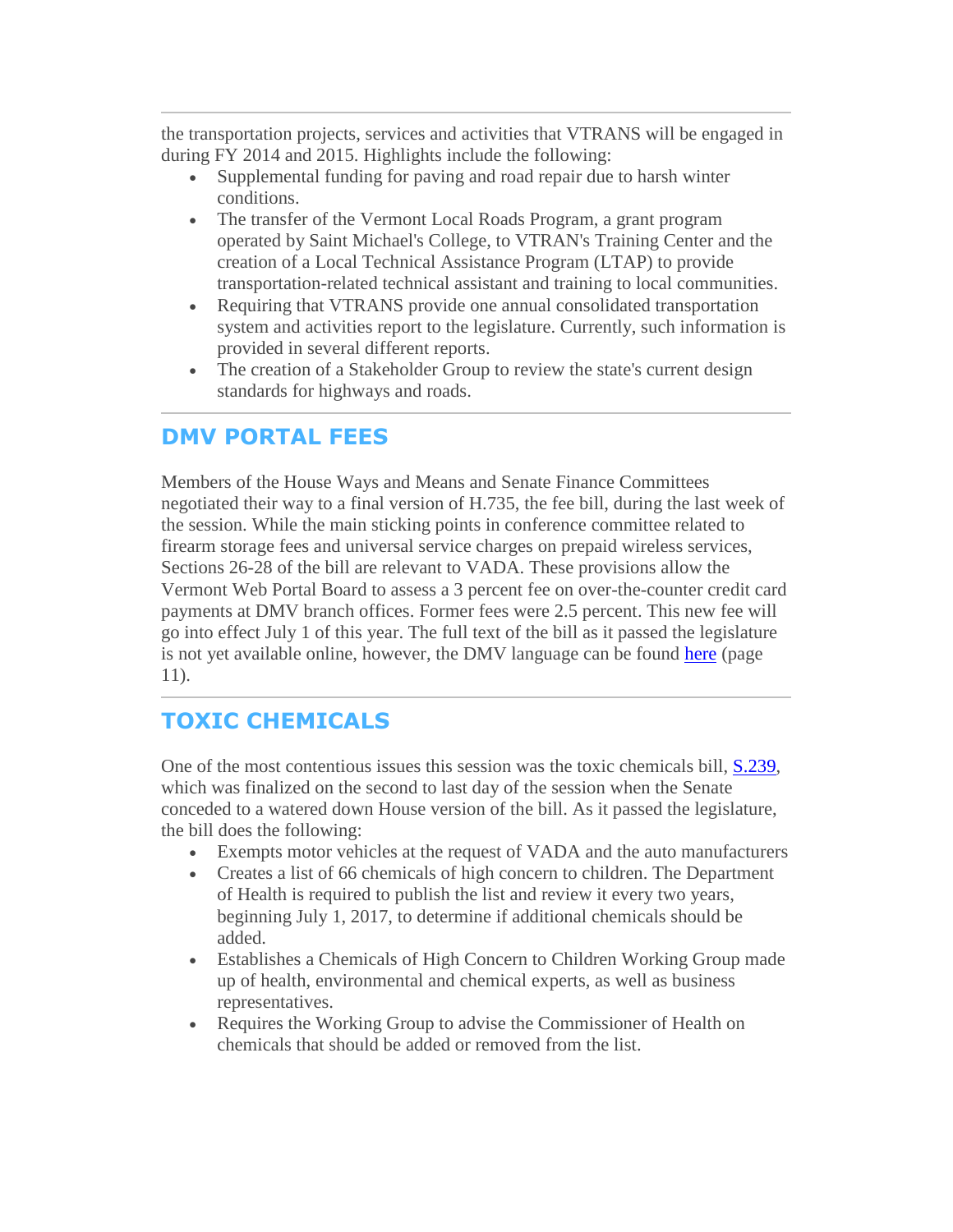<span id="page-6-0"></span>the transportation projects, services and activities that VTRANS will be engaged in during FY 2014 and 2015. Highlights include the following:

- Supplemental funding for paving and road repair due to harsh winter conditions.
- The transfer of the Vermont Local Roads Program, a grant program operated by Saint Michael's College, to VTRAN's Training Center and the creation of a Local Technical Assistance Program (LTAP) to provide transportation-related technical assistant and training to local communities.
- Requiring that VTRANS provide one annual consolidated transportation system and activities report to the legislature. Currently, such information is provided in several different reports.
- The creation of a Stakeholder Group to review the state's current design standards for highways and roads.

## **DMV PORTAL FEES**

Members of the House Ways and Means and Senate Finance Committees negotiated their way to a final version of H.735, the fee bill, during the last week of the session. While the main sticking points in conference committee related to firearm storage fees and universal service charges on prepaid wireless services, Sections 26-28 of the bill are relevant to VADA. These provisions allow the Vermont Web Portal Board to assess a 3 percent fee on over-the-counter credit card payments at DMV branch offices. Former fees were 2.5 percent. This new fee will go into effect July 1 of this year. The full text of the bill as it passed the legislature is not yet available online, however, the DMV language can be found [here](http://r20.rs6.net/tn.jsp?f=001IPt74B1M4BLwvEscRJLNK-3mFiivhQMc3aNKrq4gMmsB_z5IQVGuQ6spODiTqph3Kmulp9aebMuKxV0DsES7HXqRITDpkRJurI1y_K1u75HymgWalpbB7BsWATMSzL9aOJGx-ulOJSFEvcvVEIOeDZkNcFaRAtNjG55iER2G7rmCiD_C-di4p50t9ujJ6zoJag5PJaeqr0XqO-xMxMVN5XuV2z6R0qOjQAFpfLnciLZVJicMxcPiSQPuCM780yjqSy4vzAj8KLYS6cVNdkAxKCVkG0ikJpxyvb5aIr5ZpulOkgcmNf7MguPx1UIkcgjnkDZfiM6w8H8HR4R3LPWwsjlkHoDia92gxzxhkcH1SmW2bjUy5lAINgqUc_dxnD2gIYYqSM8p3vVXfSkmAHygOQ==&c=rSm9UNfgd4r0lwH_yZOtPIZP_Xuw6C7YNs6ofa_AYioxSh44sFbQng==&ch=-4o_bbDpm19JdAN9Xk8lUHraJbDc7juoLx4BC8dIPovfJenNho9gOQ==) (page 11).

# **TOXIC CHEMICALS**

One of the most contentious issues this session was the toxic chemicals bill, [S.239,](http://r20.rs6.net/tn.jsp?f=001IPt74B1M4BLwvEscRJLNK-3mFiivhQMc3aNKrq4gMmsB_z5IQVGuQ6spODiTqph3XDoIb5qoTlFh9N7TpSCZwKLjCagvuk_Zk8kIKOchNXVfiLe5vqWO57StQIfA44JRQizBeGcdSzeXjdzGug75mIwF6n5yf0sxdO755HBiLx9f2Xjrrmivvtr2Q-hMxnEjxZL4B5ubnxCJ5Pw7EFxVPdo3YGOFuXaHbCCV6IGPvdY=&c=rSm9UNfgd4r0lwH_yZOtPIZP_Xuw6C7YNs6ofa_AYioxSh44sFbQng==&ch=-4o_bbDpm19JdAN9Xk8lUHraJbDc7juoLx4BC8dIPovfJenNho9gOQ==) which was finalized on the second to last day of the session when the Senate conceded to a watered down House version of the bill. As it passed the legislature, the bill does the following:

- Exempts motor vehicles at the request of VADA and the auto manufacturers
- Creates a list of 66 chemicals of high concern to children. The Department of Health is required to publish the list and review it every two years, beginning July 1, 2017, to determine if additional chemicals should be added.
- Establishes a Chemicals of High Concern to Children Working Group made up of health, environmental and chemical experts, as well as business representatives.
- Requires the Working Group to advise the Commissioner of Health on chemicals that should be added or removed from the list.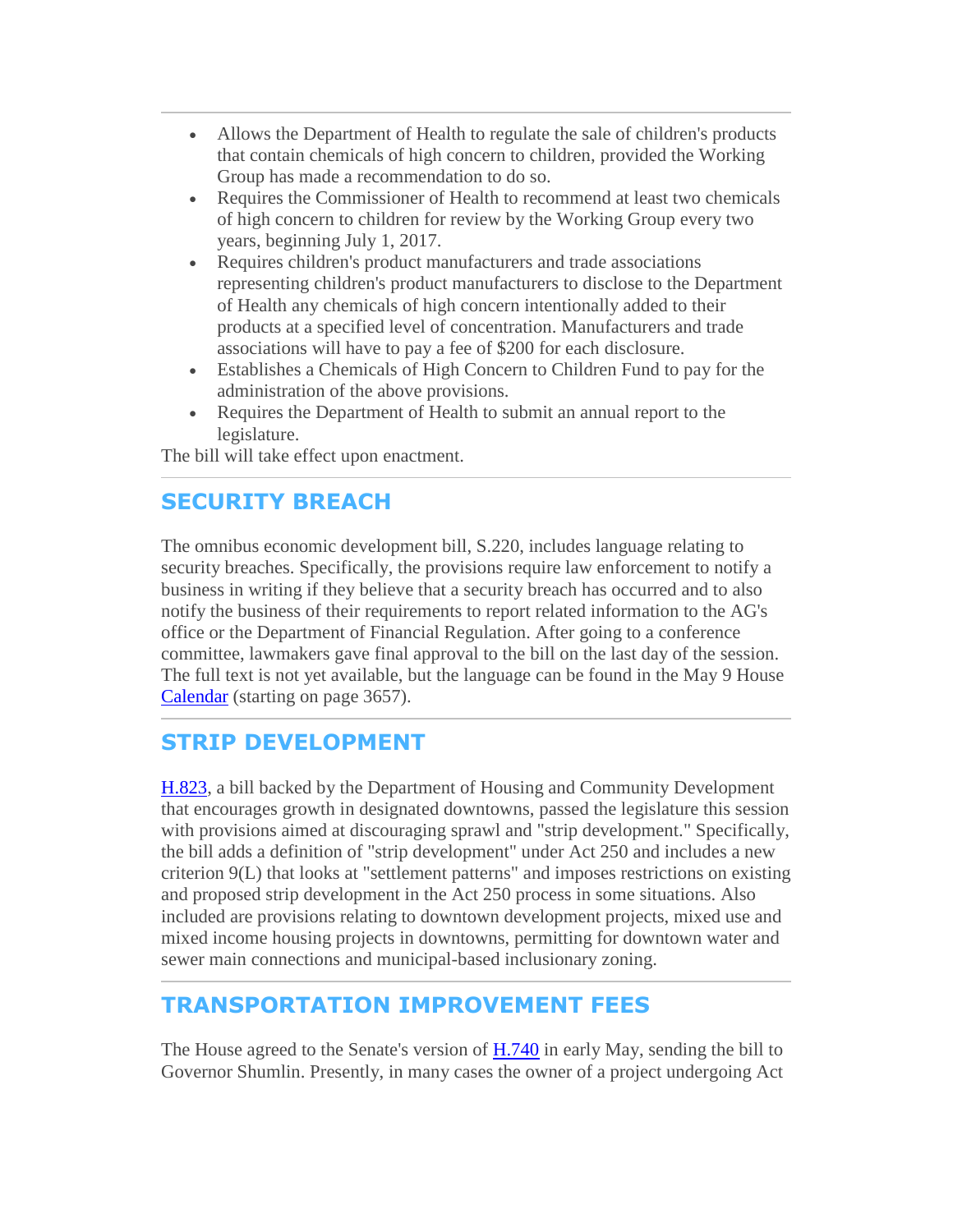- <span id="page-7-0"></span> Allows the Department of Health to regulate the sale of children's products that contain chemicals of high concern to children, provided the Working Group has made a recommendation to do so.
- Requires the Commissioner of Health to recommend at least two chemicals of high concern to children for review by the Working Group every two years, beginning July 1, 2017.
- Requires children's product manufacturers and trade associations representing children's product manufacturers to disclose to the Department of Health any chemicals of high concern intentionally added to their products at a specified level of concentration. Manufacturers and trade associations will have to pay a fee of \$200 for each disclosure.
- Establishes a Chemicals of High Concern to Children Fund to pay for the administration of the above provisions.
- Requires the Department of Health to submit an annual report to the legislature.

The bill will take effect upon enactment.

# **SECURITY BREACH**

The omnibus economic development bill, S.220, includes language relating to security breaches. Specifically, the provisions require law enforcement to notify a business in writing if they believe that a security breach has occurred and to also notify the business of their requirements to report related information to the AG's office or the Department of Financial Regulation. After going to a conference committee, lawmakers gave final approval to the bill on the last day of the session. The full text is not yet available, but the language can be found in the May 9 House [Calendar](http://r20.rs6.net/tn.jsp?f=001IPt74B1M4BLwvEscRJLNK-3mFiivhQMc3aNKrq4gMmsB_z5IQVGuQ9keZuQ_vvFfuKMBN5V_Cl_JigSfct3077Xca5r1Vt-a1XRnITpyuY2utr7n9PWmeCG7PslCDP0jXNvXLOnqEizGqZi22AgHeAkCgFh7ibhlRKxivDhYws2ITMbtu9lG3gAkDxuamWxlg9TcARaS8GUGDqI9sgADuUqm_rVvnzHe&c=rSm9UNfgd4r0lwH_yZOtPIZP_Xuw6C7YNs6ofa_AYioxSh44sFbQng==&ch=-4o_bbDpm19JdAN9Xk8lUHraJbDc7juoLx4BC8dIPovfJenNho9gOQ==) (starting on page 3657).

## **STRIP DEVELOPMENT**

[H.823,](http://r20.rs6.net/tn.jsp?f=001IPt74B1M4BLwvEscRJLNK-3mFiivhQMc3aNKrq4gMmsB_z5IQVGuQ6spODiTqph3CaP8EejPSajKHIRWHOYqlKdMYq9iSXwg3au3eVz58VpJLDdkvP9Et7RQmv623Z2_oTnk5gSjJzVFje_u8kYj8WMgHqxpZ-8lbYaePDCzj56KArAUjM-nJnF9Dm-hwvbR7iMOzxpwMj5zb3CP0HClaEL3F3r_ICzqeU40bsJnrZo=&c=rSm9UNfgd4r0lwH_yZOtPIZP_Xuw6C7YNs6ofa_AYioxSh44sFbQng==&ch=-4o_bbDpm19JdAN9Xk8lUHraJbDc7juoLx4BC8dIPovfJenNho9gOQ==) a bill backed by the Department of Housing and Community Development that encourages growth in designated downtowns, passed the legislature this session with provisions aimed at discouraging sprawl and "strip development." Specifically, the bill adds a definition of "strip development" under Act 250 and includes a new criterion 9(L) that looks at "settlement patterns" and imposes restrictions on existing and proposed strip development in the Act 250 process in some situations. Also included are provisions relating to downtown development projects, mixed use and mixed income housing projects in downtowns, permitting for downtown water and sewer main connections and municipal-based inclusionary zoning.

## **TRANSPORTATION IMPROVEMENT FEES**

The House agreed to the Senate's version of [H.740](http://r20.rs6.net/tn.jsp?f=001IPt74B1M4BLwvEscRJLNK-3mFiivhQMc3aNKrq4gMmsB_z5IQVGuQ6spODiTqph3S2W5WoywUIXf2idrP-gkYN1_jCUEgPeL6RzIrGE0RoqPPYheJOWxYFb-fmHh7LIsowXSQScjyuGW7EyjmrSRxvz7DSg65JtgRh_C2r_WBtKwmBCRIr8ZvvDrJJd1alM9Oqp3CAjWnOQw-6aSrDi7qY4hDaBXAjNo3G52BOCvlyA=&c=rSm9UNfgd4r0lwH_yZOtPIZP_Xuw6C7YNs6ofa_AYioxSh44sFbQng==&ch=-4o_bbDpm19JdAN9Xk8lUHraJbDc7juoLx4BC8dIPovfJenNho9gOQ==) in early May, sending the bill to Governor Shumlin. Presently, in many cases the owner of a project undergoing Act